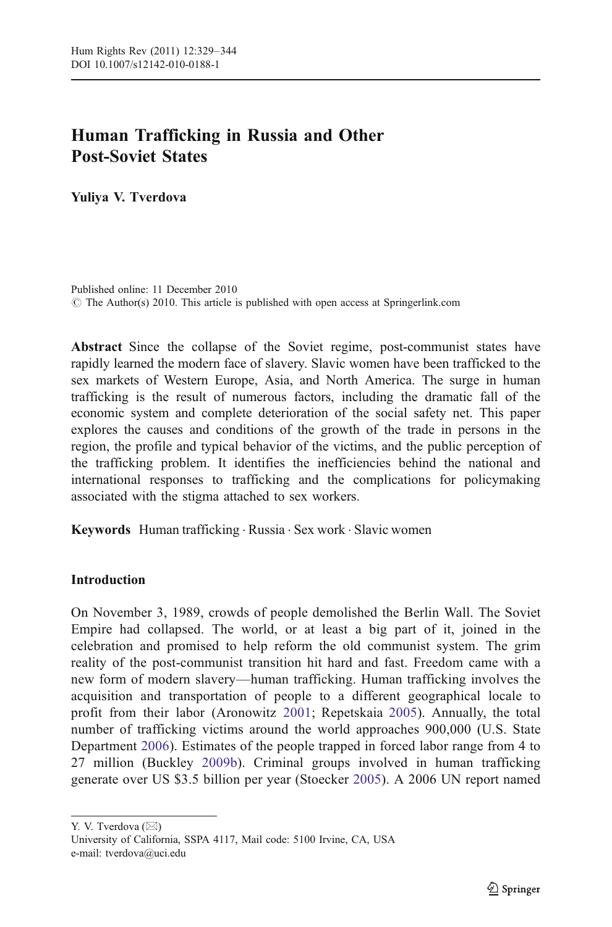# Human Trafficking in Russia and Other Post-Soviet States

Yuliya V. Tverdova

Published online: 11 December 2010  $\circ$  The Author(s) 2010. This article is published with open access at Springerlink.com

Abstract Since the collapse of the Soviet regime, post-communist states have rapidly learned the modern face of slavery. Slavic women have been trafficked to the sex markets of Western Europe, Asia, and North America. The surge in human trafficking is the result of numerous factors, including the dramatic fall of the economic system and complete deterioration of the social safety net. This paper explores the causes and conditions of the growth of the trade in persons in the region, the profile and typical behavior of the victims, and the public perception of the trafficking problem. It identifies the inefficiencies behind the national and international responses to trafficking and the complications for policymaking associated with the stigma attached to sex workers.

Keywords Human trafficking . Russia . Sex work . Slavic women

# Introduction

On November 3, 1989, crowds of people demolished the Berlin Wall. The Soviet Empire had collapsed. The world, or at least a big part of it, joined in the celebration and promised to help reform the old communist system. The grim reality of the post-communist transition hit hard and fast. Freedom came with a new form of modern slavery—human trafficking. Human trafficking involves the acquisition and transportation of people to a different geographical locale to profit from their labor (Aronowitz [2001;](#page-11-0) Repetskaia [2005\)](#page-13-0). Annually, the total number of trafficking victims around the world approaches 900,000 (U.S. State Department [2006\)](#page-14-0). Estimates of the people trapped in forced labor range from 4 to 27 million (Buckley [2009b](#page-11-0)). Criminal groups involved in human trafficking generate over US \$3.5 billion per year (Stoecker [2005\)](#page-14-0). A 2006 UN report named

Y. V. Tverdova  $(\boxtimes)$ University of California, SSPA 4117, Mail code: 5100 Irvine, CA, USA

e-mail: tverdova@uci.edu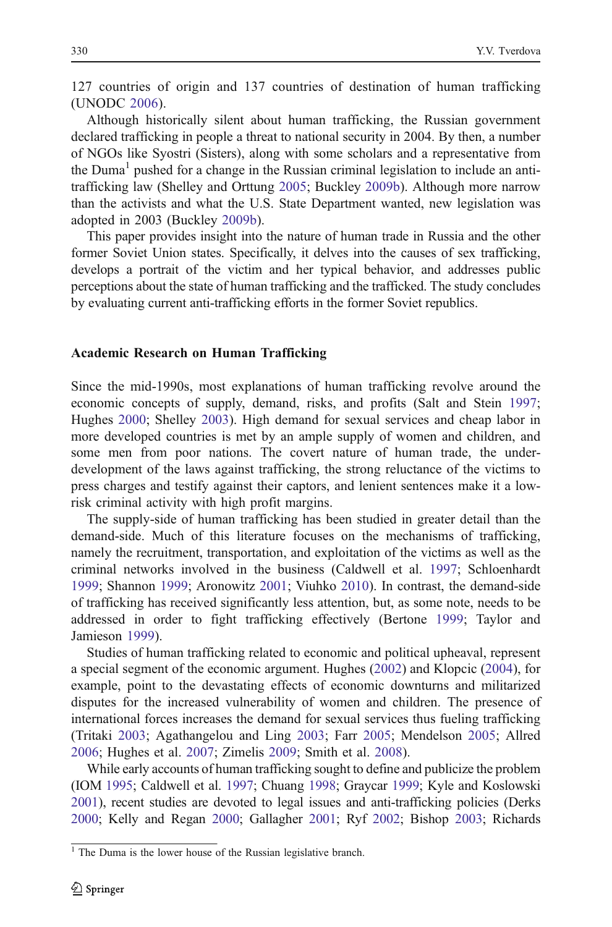127 countries of origin and 137 countries of destination of human trafficking (UNODC [2006\)](#page-14-0).

Although historically silent about human trafficking, the Russian government declared trafficking in people a threat to national security in 2004. By then, a number of NGOs like Syostri (Sisters), along with some scholars and a representative from the Duma<sup>1</sup> pushed for a change in the Russian criminal legislation to include an antitrafficking law (Shelley and Orttung [2005](#page-14-0); Buckley [2009b](#page-11-0)). Although more narrow than the activists and what the U.S. State Department wanted, new legislation was adopted in 2003 (Buckley [2009b](#page-11-0)).

This paper provides insight into the nature of human trade in Russia and the other former Soviet Union states. Specifically, it delves into the causes of sex trafficking, develops a portrait of the victim and her typical behavior, and addresses public perceptions about the state of human trafficking and the trafficked. The study concludes by evaluating current anti-trafficking efforts in the former Soviet republics.

### Academic Research on Human Trafficking

Since the mid-1990s, most explanations of human trafficking revolve around the economic concepts of supply, demand, risks, and profits (Salt and Stein [1997;](#page-13-0) Hughes [2000;](#page-12-0) Shelley [2003\)](#page-14-0). High demand for sexual services and cheap labor in more developed countries is met by an ample supply of women and children, and some men from poor nations. The covert nature of human trade, the underdevelopment of the laws against trafficking, the strong reluctance of the victims to press charges and testify against their captors, and lenient sentences make it a lowrisk criminal activity with high profit margins.

The supply-side of human trafficking has been studied in greater detail than the demand-side. Much of this literature focuses on the mechanisms of trafficking, namely the recruitment, transportation, and exploitation of the victims as well as the criminal networks involved in the business (Caldwell et al. [1997](#page-12-0); Schloenhardt [1999;](#page-14-0) Shannon [1999](#page-14-0); Aronowitz [2001;](#page-11-0) Viuhko [2010](#page-14-0)). In contrast, the demand-side of trafficking has received significantly less attention, but, as some note, needs to be addressed in order to fight trafficking effectively (Bertone [1999](#page-11-0); Taylor and Jamieson [1999](#page-14-0)).

Studies of human trafficking related to economic and political upheaval, represent a special segment of the economic argument. Hughes ([2002\)](#page-12-0) and Klopcic ([2004\)](#page-13-0), for example, point to the devastating effects of economic downturns and militarized disputes for the increased vulnerability of women and children. The presence of international forces increases the demand for sexual services thus fueling trafficking (Tritaki [2003;](#page-14-0) Agathangelou and Ling [2003](#page-11-0); Farr [2005;](#page-12-0) Mendelson [2005](#page-13-0); Allred [2006;](#page-11-0) Hughes et al. [2007;](#page-12-0) Zimelis [2009](#page-15-0); Smith et al. [2008](#page-14-0)).

While early accounts of human trafficking sought to define and publicize the problem (IOM [1995](#page-12-0); Caldwell et al. [1997;](#page-12-0) Chuang [1998](#page-12-0); Graycar [1999](#page-12-0); Kyle and Koslowski [2001\)](#page-13-0), recent studies are devoted to legal issues and anti-trafficking policies (Derks [2000;](#page-12-0) Kelly and Regan [2000;](#page-12-0) Gallagher [2001;](#page-12-0) Ryf [2002](#page-13-0); Bishop [2003;](#page-11-0) Richards

<sup>&</sup>lt;sup>1</sup> The Duma is the lower house of the Russian legislative branch.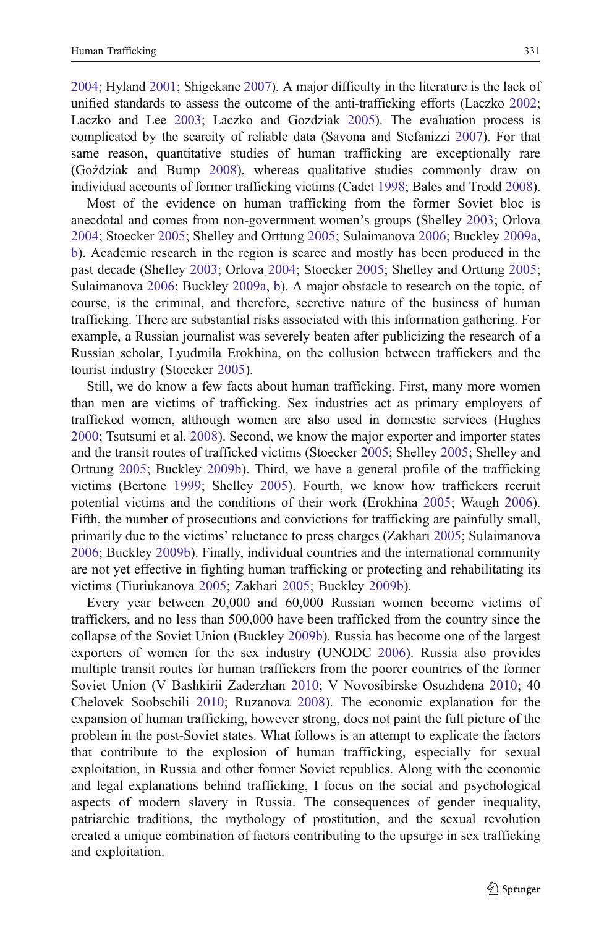[2004;](#page-13-0) Hyland [2001;](#page-12-0) Shigekane [2007\)](#page-14-0). A major difficulty in the literature is the lack of unified standards to assess the outcome of the anti-trafficking efforts (Laczko [2002;](#page-13-0) Laczko and Lee [2003;](#page-13-0) Laczko and Gozdziak [2005](#page-13-0)). The evaluation process is complicated by the scarcity of reliable data (Savona and Stefanizzi [2007\)](#page-13-0). For that same reason, quantitative studies of human trafficking are exceptionally rare (Goździak and Bump [2008](#page-12-0)), whereas qualitative studies commonly draw on individual accounts of former trafficking victims (Cadet [1998;](#page-12-0) Bales and Trodd [2008\)](#page-11-0).

Most of the evidence on human trafficking from the former Soviet bloc is anecdotal and comes from non-government women's groups (Shelley [2003;](#page-14-0) Orlova [2004;](#page-13-0) Stoecker [2005](#page-14-0); Shelley and Orttung [2005](#page-14-0); Sulaimanova [2006;](#page-14-0) Buckley [2009a,](#page-11-0) [b](#page-11-0)). Academic research in the region is scarce and mostly has been produced in the past decade (Shelley [2003](#page-14-0); Orlova [2004;](#page-13-0) Stoecker [2005;](#page-14-0) Shelley and Orttung [2005;](#page-14-0) Sulaimanova [2006;](#page-14-0) Buckley [2009a](#page-11-0), [b\)](#page-11-0). A major obstacle to research on the topic, of course, is the criminal, and therefore, secretive nature of the business of human trafficking. There are substantial risks associated with this information gathering. For example, a Russian journalist was severely beaten after publicizing the research of a Russian scholar, Lyudmila Erokhina, on the collusion between traffickers and the tourist industry (Stoecker [2005](#page-14-0)).

Still, we do know a few facts about human trafficking. First, many more women than men are victims of trafficking. Sex industries act as primary employers of trafficked women, although women are also used in domestic services (Hughes [2000;](#page-12-0) Tsutsumi et al. [2008\)](#page-14-0). Second, we know the major exporter and importer states and the transit routes of trafficked victims (Stoecker [2005](#page-14-0); Shelley [2005;](#page-14-0) Shelley and Orttung [2005](#page-14-0); Buckley [2009b\)](#page-11-0). Third, we have a general profile of the trafficking victims (Bertone [1999;](#page-11-0) Shelley [2005\)](#page-14-0). Fourth, we know how traffickers recruit potential victims and the conditions of their work (Erokhina [2005](#page-12-0); Waugh [2006\)](#page-14-0). Fifth, the number of prosecutions and convictions for trafficking are painfully small, primarily due to the victims' reluctance to press charges (Zakhari [2005](#page-15-0); Sulaimanova [2006;](#page-14-0) Buckley [2009b\)](#page-11-0). Finally, individual countries and the international community are not yet effective in fighting human trafficking or protecting and rehabilitating its victims (Tiuriukanova [2005;](#page-14-0) Zakhari [2005;](#page-15-0) Buckley [2009b](#page-11-0)).

Every year between 20,000 and 60,000 Russian women become victims of traffickers, and no less than 500,000 have been trafficked from the country since the collapse of the Soviet Union (Buckley [2009b\)](#page-11-0). Russia has become one of the largest exporters of women for the sex industry (UNODC [2006\)](#page-14-0). Russia also provides multiple transit routes for human traffickers from the poorer countries of the former Soviet Union (V Bashkirii Zaderzhan [2010](#page-14-0); V Novosibirske Osuzhdena [2010;](#page-14-0) 40 Chelovek Soobschili [2010](#page-11-0); Ruzanova [2008\)](#page-13-0). The economic explanation for the expansion of human trafficking, however strong, does not paint the full picture of the problem in the post-Soviet states. What follows is an attempt to explicate the factors that contribute to the explosion of human trafficking, especially for sexual exploitation, in Russia and other former Soviet republics. Along with the economic and legal explanations behind trafficking, I focus on the social and psychological aspects of modern slavery in Russia. The consequences of gender inequality, patriarchic traditions, the mythology of prostitution, and the sexual revolution created a unique combination of factors contributing to the upsurge in sex trafficking and exploitation.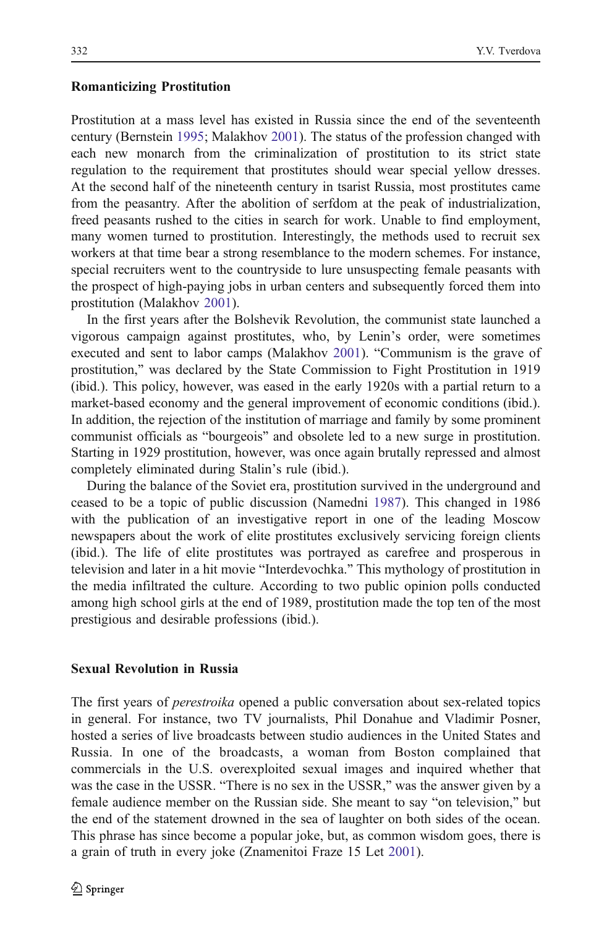## Romanticizing Prostitution

Prostitution at a mass level has existed in Russia since the end of the seventeenth century (Bernstein [1995;](#page-11-0) Malakhov [2001\)](#page-13-0). The status of the profession changed with each new monarch from the criminalization of prostitution to its strict state regulation to the requirement that prostitutes should wear special yellow dresses. At the second half of the nineteenth century in tsarist Russia, most prostitutes came from the peasantry. After the abolition of serfdom at the peak of industrialization, freed peasants rushed to the cities in search for work. Unable to find employment, many women turned to prostitution. Interestingly, the methods used to recruit sex workers at that time bear a strong resemblance to the modern schemes. For instance, special recruiters went to the countryside to lure unsuspecting female peasants with the prospect of high-paying jobs in urban centers and subsequently forced them into prostitution (Malakhov [2001\)](#page-13-0).

In the first years after the Bolshevik Revolution, the communist state launched a vigorous campaign against prostitutes, who, by Lenin's order, were sometimes executed and sent to labor camps (Malakhov [2001](#page-13-0)). "Communism is the grave of prostitution," was declared by the State Commission to Fight Prostitution in 1919 (ibid.). This policy, however, was eased in the early 1920s with a partial return to a market-based economy and the general improvement of economic conditions (ibid.). In addition, the rejection of the institution of marriage and family by some prominent communist officials as "bourgeois" and obsolete led to a new surge in prostitution. Starting in 1929 prostitution, however, was once again brutally repressed and almost completely eliminated during Stalin's rule (ibid.).

During the balance of the Soviet era, prostitution survived in the underground and ceased to be a topic of public discussion (Namedni [1987](#page-13-0)). This changed in 1986 with the publication of an investigative report in one of the leading Moscow newspapers about the work of elite prostitutes exclusively servicing foreign clients (ibid.). The life of elite prostitutes was portrayed as carefree and prosperous in television and later in a hit movie "Interdevochka." This mythology of prostitution in the media infiltrated the culture. According to two public opinion polls conducted among high school girls at the end of 1989, prostitution made the top ten of the most prestigious and desirable professions (ibid.).

#### Sexual Revolution in Russia

The first years of perestroika opened a public conversation about sex-related topics in general. For instance, two TV journalists, Phil Donahue and Vladimir Posner, hosted a series of live broadcasts between studio audiences in the United States and Russia. In one of the broadcasts, a woman from Boston complained that commercials in the U.S. overexploited sexual images and inquired whether that was the case in the USSR. "There is no sex in the USSR," was the answer given by a female audience member on the Russian side. She meant to say "on television," but the end of the statement drowned in the sea of laughter on both sides of the ocean. This phrase has since become a popular joke, but, as common wisdom goes, there is a grain of truth in every joke (Znamenitoi Fraze 15 Let [2001](#page-15-0)).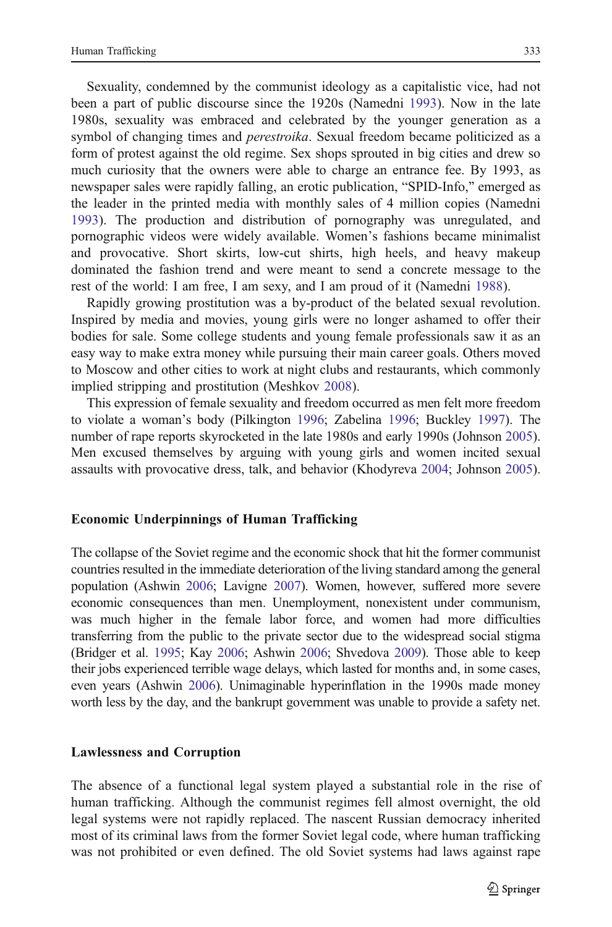Sexuality, condemned by the communist ideology as a capitalistic vice, had not been a part of public discourse since the 1920s (Namedni [1993\)](#page-13-0). Now in the late 1980s, sexuality was embraced and celebrated by the younger generation as a symbol of changing times and *perestroika*. Sexual freedom became politicized as a form of protest against the old regime. Sex shops sprouted in big cities and drew so much curiosity that the owners were able to charge an entrance fee. By 1993, as newspaper sales were rapidly falling, an erotic publication, "SPID-Info," emerged as the leader in the printed media with monthly sales of 4 million copies (Namedni [1993\)](#page-13-0). The production and distribution of pornography was unregulated, and pornographic videos were widely available. Women's fashions became minimalist and provocative. Short skirts, low-cut shirts, high heels, and heavy makeup dominated the fashion trend and were meant to send a concrete message to the rest of the world: I am free, I am sexy, and I am proud of it (Namedni [1988](#page-13-0)).

Rapidly growing prostitution was a by-product of the belated sexual revolution. Inspired by media and movies, young girls were no longer ashamed to offer their bodies for sale. Some college students and young female professionals saw it as an easy way to make extra money while pursuing their main career goals. Others moved to Moscow and other cities to work at night clubs and restaurants, which commonly implied stripping and prostitution (Meshkov [2008\)](#page-13-0).

This expression of female sexuality and freedom occurred as men felt more freedom to violate a woman's body (Pilkington [1996;](#page-13-0) Zabelina [1996](#page-15-0); Buckley [1997\)](#page-11-0). The number of rape reports skyrocketed in the late 1980s and early 1990s (Johnson [2005\)](#page-12-0). Men excused themselves by arguing with young girls and women incited sexual assaults with provocative dress, talk, and behavior (Khodyreva [2004](#page-12-0); Johnson [2005\)](#page-12-0).

# Economic Underpinnings of Human Trafficking

The collapse of the Soviet regime and the economic shock that hit the former communist countries resulted in the immediate deterioration of the living standard among the general population (Ashwin [2006;](#page-11-0) Lavigne [2007](#page-13-0)). Women, however, suffered more severe economic consequences than men. Unemployment, nonexistent under communism, was much higher in the female labor force, and women had more difficulties transferring from the public to the private sector due to the widespread social stigma (Bridger et al. [1995;](#page-11-0) Kay [2006;](#page-12-0) Ashwin [2006](#page-11-0); Shvedova [2009\)](#page-14-0). Those able to keep their jobs experienced terrible wage delays, which lasted for months and, in some cases, even years (Ashwin [2006\)](#page-11-0). Unimaginable hyperinflation in the 1990s made money worth less by the day, and the bankrupt government was unable to provide a safety net.

#### Lawlessness and Corruption

The absence of a functional legal system played a substantial role in the rise of human trafficking. Although the communist regimes fell almost overnight, the old legal systems were not rapidly replaced. The nascent Russian democracy inherited most of its criminal laws from the former Soviet legal code, where human trafficking was not prohibited or even defined. The old Soviet systems had laws against rape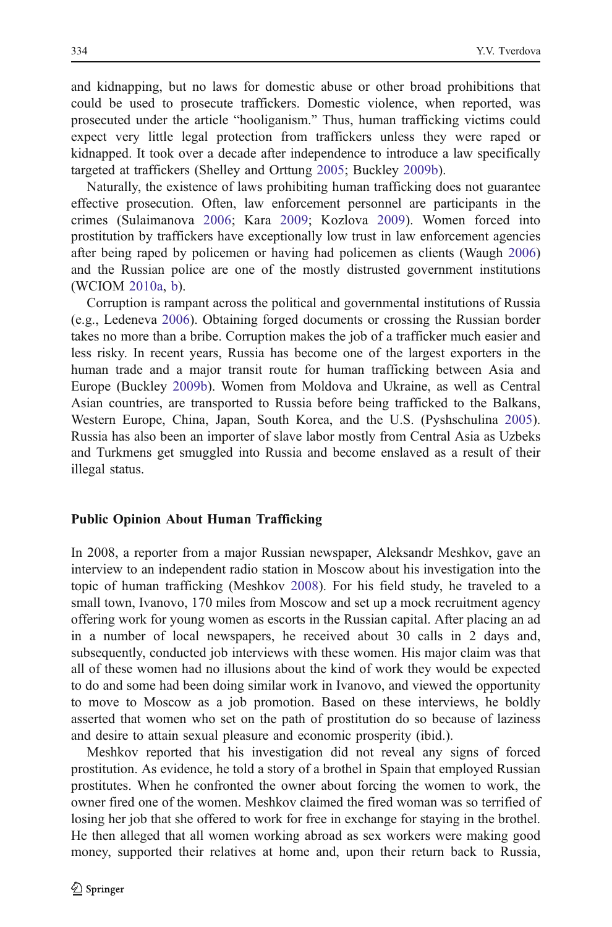and kidnapping, but no laws for domestic abuse or other broad prohibitions that could be used to prosecute traffickers. Domestic violence, when reported, was prosecuted under the article "hooliganism." Thus, human trafficking victims could expect very little legal protection from traffickers unless they were raped or kidnapped. It took over a decade after independence to introduce a law specifically targeted at traffickers (Shelley and Orttung [2005;](#page-14-0) Buckley [2009b\)](#page-11-0).

Naturally, the existence of laws prohibiting human trafficking does not guarantee effective prosecution. Often, law enforcement personnel are participants in the crimes (Sulaimanova [2006](#page-14-0); Kara [2009](#page-12-0); Kozlova [2009](#page-13-0)). Women forced into prostitution by traffickers have exceptionally low trust in law enforcement agencies after being raped by policemen or having had policemen as clients (Waugh [2006](#page-14-0)) and the Russian police are one of the mostly distrusted government institutions (WCIOM [2010a](#page-14-0), [b\)](#page-15-0).

Corruption is rampant across the political and governmental institutions of Russia (e.g., Ledeneva [2006](#page-13-0)). Obtaining forged documents or crossing the Russian border takes no more than a bribe. Corruption makes the job of a trafficker much easier and less risky. In recent years, Russia has become one of the largest exporters in the human trade and a major transit route for human trafficking between Asia and Europe (Buckley [2009b](#page-11-0)). Women from Moldova and Ukraine, as well as Central Asian countries, are transported to Russia before being trafficked to the Balkans, Western Europe, China, Japan, South Korea, and the U.S. (Pyshschulina [2005\)](#page-13-0). Russia has also been an importer of slave labor mostly from Central Asia as Uzbeks and Turkmens get smuggled into Russia and become enslaved as a result of their illegal status.

#### Public Opinion About Human Trafficking

In 2008, a reporter from a major Russian newspaper, Aleksandr Meshkov, gave an interview to an independent radio station in Moscow about his investigation into the topic of human trafficking (Meshkov [2008\)](#page-13-0). For his field study, he traveled to a small town, Ivanovo, 170 miles from Moscow and set up a mock recruitment agency offering work for young women as escorts in the Russian capital. After placing an ad in a number of local newspapers, he received about 30 calls in 2 days and, subsequently, conducted job interviews with these women. His major claim was that all of these women had no illusions about the kind of work they would be expected to do and some had been doing similar work in Ivanovo, and viewed the opportunity to move to Moscow as a job promotion. Based on these interviews, he boldly asserted that women who set on the path of prostitution do so because of laziness and desire to attain sexual pleasure and economic prosperity (ibid.).

Meshkov reported that his investigation did not reveal any signs of forced prostitution. As evidence, he told a story of a brothel in Spain that employed Russian prostitutes. When he confronted the owner about forcing the women to work, the owner fired one of the women. Meshkov claimed the fired woman was so terrified of losing her job that she offered to work for free in exchange for staying in the brothel. He then alleged that all women working abroad as sex workers were making good money, supported their relatives at home and, upon their return back to Russia,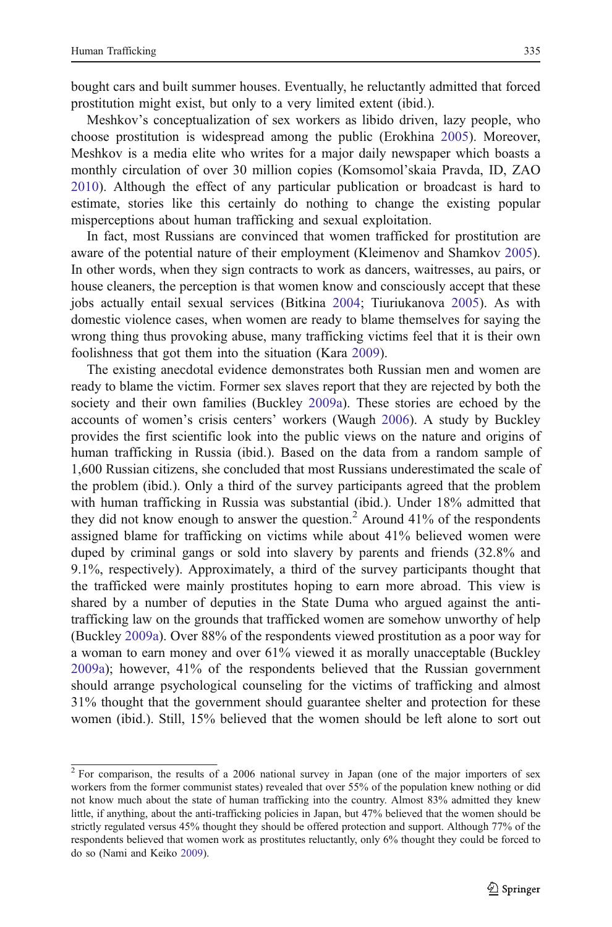bought cars and built summer houses. Eventually, he reluctantly admitted that forced prostitution might exist, but only to a very limited extent (ibid.).

Meshkov's conceptualization of sex workers as libido driven, lazy people, who choose prostitution is widespread among the public (Erokhina [2005\)](#page-12-0). Moreover, Meshkov is a media elite who writes for a major daily newspaper which boasts a monthly circulation of over 30 million copies (Komsomol'skaia Pravda, ID, ZAO [2010\)](#page-13-0). Although the effect of any particular publication or broadcast is hard to estimate, stories like this certainly do nothing to change the existing popular misperceptions about human trafficking and sexual exploitation.

In fact, most Russians are convinced that women trafficked for prostitution are aware of the potential nature of their employment (Kleimenov and Shamkov [2005\)](#page-13-0). In other words, when they sign contracts to work as dancers, waitresses, au pairs, or house cleaners, the perception is that women know and consciously accept that these jobs actually entail sexual services (Bitkina [2004;](#page-11-0) Tiuriukanova [2005](#page-14-0)). As with domestic violence cases, when women are ready to blame themselves for saying the wrong thing thus provoking abuse, many trafficking victims feel that it is their own foolishness that got them into the situation (Kara [2009\)](#page-12-0).

The existing anecdotal evidence demonstrates both Russian men and women are ready to blame the victim. Former sex slaves report that they are rejected by both the society and their own families (Buckley [2009a\)](#page-11-0). These stories are echoed by the accounts of women's crisis centers' workers (Waugh [2006](#page-14-0)). A study by Buckley provides the first scientific look into the public views on the nature and origins of human trafficking in Russia (ibid.). Based on the data from a random sample of 1,600 Russian citizens, she concluded that most Russians underestimated the scale of the problem (ibid.). Only a third of the survey participants agreed that the problem with human trafficking in Russia was substantial (ibid.). Under 18% admitted that they did not know enough to answer the question.<sup>2</sup> Around  $41\%$  of the respondents assigned blame for trafficking on victims while about 41% believed women were duped by criminal gangs or sold into slavery by parents and friends (32.8% and 9.1%, respectively). Approximately, a third of the survey participants thought that the trafficked were mainly prostitutes hoping to earn more abroad. This view is shared by a number of deputies in the State Duma who argued against the antitrafficking law on the grounds that trafficked women are somehow unworthy of help (Buckley [2009a](#page-11-0)). Over 88% of the respondents viewed prostitution as a poor way for a woman to earn money and over 61% viewed it as morally unacceptable (Buckley [2009a](#page-11-0)); however, 41% of the respondents believed that the Russian government should arrange psychological counseling for the victims of trafficking and almost 31% thought that the government should guarantee shelter and protection for these women (ibid.). Still, 15% believed that the women should be left alone to sort out

 $2$  For comparison, the results of a 2006 national survey in Japan (one of the major importers of sex workers from the former communist states) revealed that over 55% of the population knew nothing or did not know much about the state of human trafficking into the country. Almost 83% admitted they knew little, if anything, about the anti-trafficking policies in Japan, but 47% believed that the women should be strictly regulated versus 45% thought they should be offered protection and support. Although 77% of the respondents believed that women work as prostitutes reluctantly, only 6% thought they could be forced to do so (Nami and Keiko [2009\)](#page-13-0).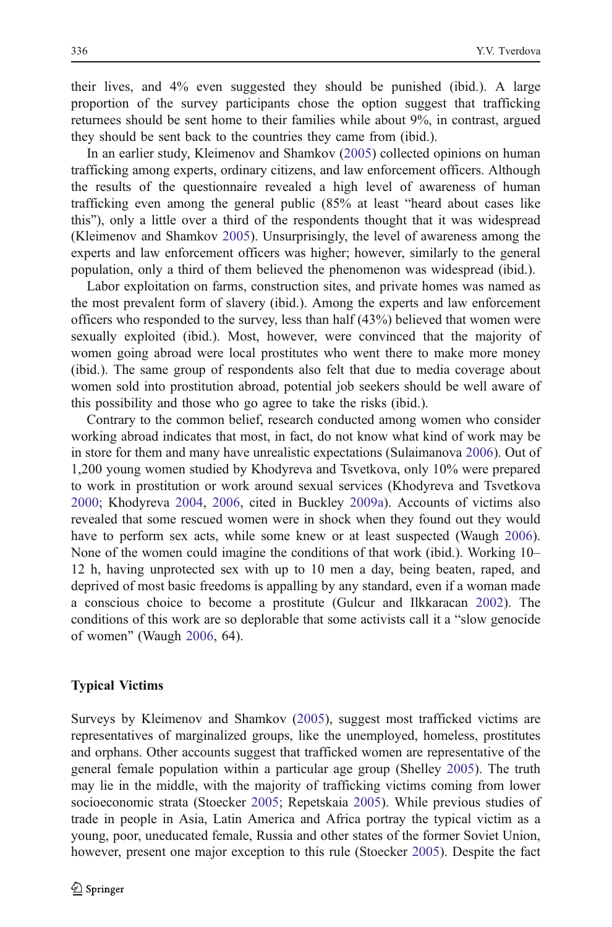their lives, and 4% even suggested they should be punished (ibid.). A large proportion of the survey participants chose the option suggest that trafficking returnees should be sent home to their families while about 9%, in contrast, argued they should be sent back to the countries they came from (ibid.).

In an earlier study, Kleimenov and Shamkov [\(2005](#page-13-0)) collected opinions on human trafficking among experts, ordinary citizens, and law enforcement officers. Although the results of the questionnaire revealed a high level of awareness of human trafficking even among the general public (85% at least "heard about cases like this"), only a little over a third of the respondents thought that it was widespread (Kleimenov and Shamkov [2005\)](#page-13-0). Unsurprisingly, the level of awareness among the experts and law enforcement officers was higher; however, similarly to the general population, only a third of them believed the phenomenon was widespread (ibid.).

Labor exploitation on farms, construction sites, and private homes was named as the most prevalent form of slavery (ibid.). Among the experts and law enforcement officers who responded to the survey, less than half (43%) believed that women were sexually exploited (ibid.). Most, however, were convinced that the majority of women going abroad were local prostitutes who went there to make more money (ibid.). The same group of respondents also felt that due to media coverage about women sold into prostitution abroad, potential job seekers should be well aware of this possibility and those who go agree to take the risks (ibid.).

Contrary to the common belief, research conducted among women who consider working abroad indicates that most, in fact, do not know what kind of work may be in store for them and many have unrealistic expectations (Sulaimanova [2006\)](#page-14-0). Out of 1,200 young women studied by Khodyreva and Tsvetkova, only 10% were prepared to work in prostitution or work around sexual services (Khodyreva and Tsvetkova [2000;](#page-12-0) Khodyreva [2004,](#page-12-0) [2006,](#page-12-0) cited in Buckley [2009a\)](#page-11-0). Accounts of victims also revealed that some rescued women were in shock when they found out they would have to perform sex acts, while some knew or at least suspected (Waugh [2006\)](#page-14-0). None of the women could imagine the conditions of that work (ibid.). Working 10– 12 h, having unprotected sex with up to 10 men a day, being beaten, raped, and deprived of most basic freedoms is appalling by any standard, even if a woman made a conscious choice to become a prostitute (Gulcur and Ilkkaracan [2002\)](#page-12-0). The conditions of this work are so deplorable that some activists call it a "slow genocide of women" (Waugh [2006,](#page-14-0) 64).

## Typical Victims

Surveys by Kleimenov and Shamkov [\(2005](#page-13-0)), suggest most trafficked victims are representatives of marginalized groups, like the unemployed, homeless, prostitutes and orphans. Other accounts suggest that trafficked women are representative of the general female population within a particular age group (Shelley [2005\)](#page-14-0). The truth may lie in the middle, with the majority of trafficking victims coming from lower socioeconomic strata (Stoecker [2005](#page-14-0); Repetskaia [2005\)](#page-13-0). While previous studies of trade in people in Asia, Latin America and Africa portray the typical victim as a young, poor, uneducated female, Russia and other states of the former Soviet Union, however, present one major exception to this rule (Stoecker [2005\)](#page-14-0). Despite the fact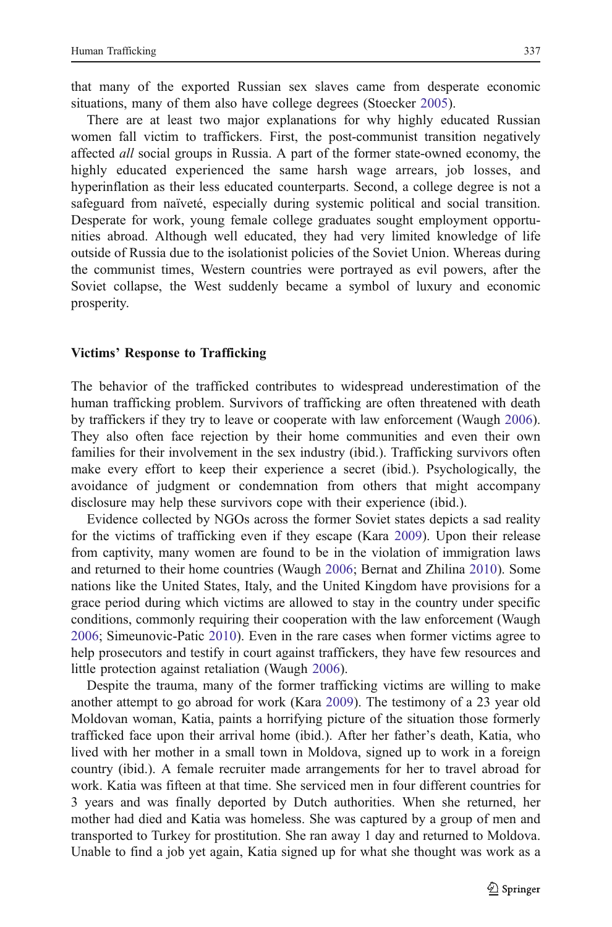that many of the exported Russian sex slaves came from desperate economic situations, many of them also have college degrees (Stoecker [2005\)](#page-14-0).

There are at least two major explanations for why highly educated Russian women fall victim to traffickers. First, the post-communist transition negatively affected *all* social groups in Russia. A part of the former state-owned economy, the highly educated experienced the same harsh wage arrears, job losses, and hyperinflation as their less educated counterparts. Second, a college degree is not a safeguard from naïveté, especially during systemic political and social transition. Desperate for work, young female college graduates sought employment opportunities abroad. Although well educated, they had very limited knowledge of life outside of Russia due to the isolationist policies of the Soviet Union. Whereas during the communist times, Western countries were portrayed as evil powers, after the Soviet collapse, the West suddenly became a symbol of luxury and economic prosperity.

# Victims' Response to Trafficking

The behavior of the trafficked contributes to widespread underestimation of the human trafficking problem. Survivors of trafficking are often threatened with death by traffickers if they try to leave or cooperate with law enforcement (Waugh [2006\)](#page-14-0). They also often face rejection by their home communities and even their own families for their involvement in the sex industry (ibid.). Trafficking survivors often make every effort to keep their experience a secret (ibid.). Psychologically, the avoidance of judgment or condemnation from others that might accompany disclosure may help these survivors cope with their experience (ibid.).

Evidence collected by NGOs across the former Soviet states depicts a sad reality for the victims of trafficking even if they escape (Kara [2009](#page-12-0)). Upon their release from captivity, many women are found to be in the violation of immigration laws and returned to their home countries (Waugh [2006;](#page-14-0) Bernat and Zhilina [2010](#page-11-0)). Some nations like the United States, Italy, and the United Kingdom have provisions for a grace period during which victims are allowed to stay in the country under specific conditions, commonly requiring their cooperation with the law enforcement (Waugh [2006;](#page-14-0) Simeunovic-Patic [2010\)](#page-14-0). Even in the rare cases when former victims agree to help prosecutors and testify in court against traffickers, they have few resources and little protection against retaliation (Waugh [2006](#page-14-0)).

Despite the trauma, many of the former trafficking victims are willing to make another attempt to go abroad for work (Kara [2009](#page-12-0)). The testimony of a 23 year old Moldovan woman, Katia, paints a horrifying picture of the situation those formerly trafficked face upon their arrival home (ibid.). After her father's death, Katia, who lived with her mother in a small town in Moldova, signed up to work in a foreign country (ibid.). A female recruiter made arrangements for her to travel abroad for work. Katia was fifteen at that time. She serviced men in four different countries for 3 years and was finally deported by Dutch authorities. When she returned, her mother had died and Katia was homeless. She was captured by a group of men and transported to Turkey for prostitution. She ran away 1 day and returned to Moldova. Unable to find a job yet again, Katia signed up for what she thought was work as a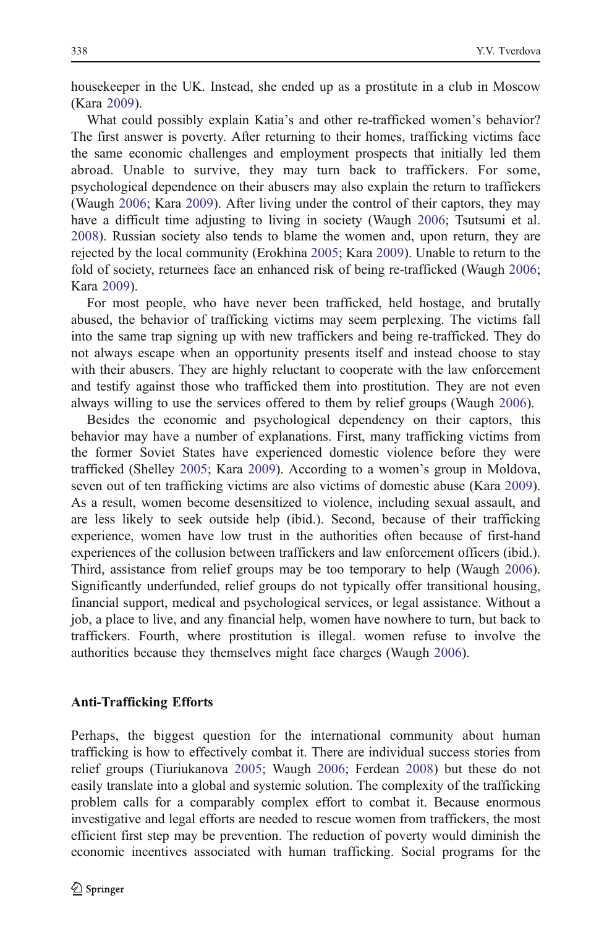housekeeper in the UK. Instead, she ended up as a prostitute in a club in Moscow (Kara [2009\)](#page-12-0).

What could possibly explain Katia's and other re-trafficked women's behavior? The first answer is poverty. After returning to their homes, trafficking victims face the same economic challenges and employment prospects that initially led them abroad. Unable to survive, they may turn back to traffickers. For some, psychological dependence on their abusers may also explain the return to traffickers (Waugh [2006](#page-14-0); Kara [2009](#page-12-0)). After living under the control of their captors, they may have a difficult time adjusting to living in society (Waugh [2006;](#page-14-0) Tsutsumi et al. [2008\)](#page-14-0). Russian society also tends to blame the women and, upon return, they are rejected by the local community (Erokhina [2005](#page-12-0); Kara [2009](#page-12-0)). Unable to return to the fold of society, returnees face an enhanced risk of being re-trafficked (Waugh [2006;](#page-14-0) Kara [2009](#page-12-0)).

For most people, who have never been trafficked, held hostage, and brutally abused, the behavior of trafficking victims may seem perplexing. The victims fall into the same trap signing up with new traffickers and being re-trafficked. They do not always escape when an opportunity presents itself and instead choose to stay with their abusers. They are highly reluctant to cooperate with the law enforcement and testify against those who trafficked them into prostitution. They are not even always willing to use the services offered to them by relief groups (Waugh [2006](#page-14-0)).

Besides the economic and psychological dependency on their captors, this behavior may have a number of explanations. First, many trafficking victims from the former Soviet States have experienced domestic violence before they were trafficked (Shelley [2005](#page-14-0); Kara [2009](#page-12-0)). According to a women's group in Moldova, seven out of ten trafficking victims are also victims of domestic abuse (Kara [2009\)](#page-12-0). As a result, women become desensitized to violence, including sexual assault, and are less likely to seek outside help (ibid.). Second, because of their trafficking experience, women have low trust in the authorities often because of first-hand experiences of the collusion between traffickers and law enforcement officers (ibid.). Third, assistance from relief groups may be too temporary to help (Waugh [2006\)](#page-14-0). Significantly underfunded, relief groups do not typically offer transitional housing, financial support, medical and psychological services, or legal assistance. Without a job, a place to live, and any financial help, women have nowhere to turn, but back to traffickers. Fourth, where prostitution is illegal. women refuse to involve the authorities because they themselves might face charges (Waugh [2006\)](#page-14-0).

#### Anti-Trafficking Efforts

Perhaps, the biggest question for the international community about human trafficking is how to effectively combat it. There are individual success stories from relief groups (Tiuriukanova [2005](#page-14-0); Waugh [2006;](#page-14-0) Ferdean [2008](#page-12-0)) but these do not easily translate into a global and systemic solution. The complexity of the trafficking problem calls for a comparably complex effort to combat it. Because enormous investigative and legal efforts are needed to rescue women from traffickers, the most efficient first step may be prevention. The reduction of poverty would diminish the economic incentives associated with human trafficking. Social programs for the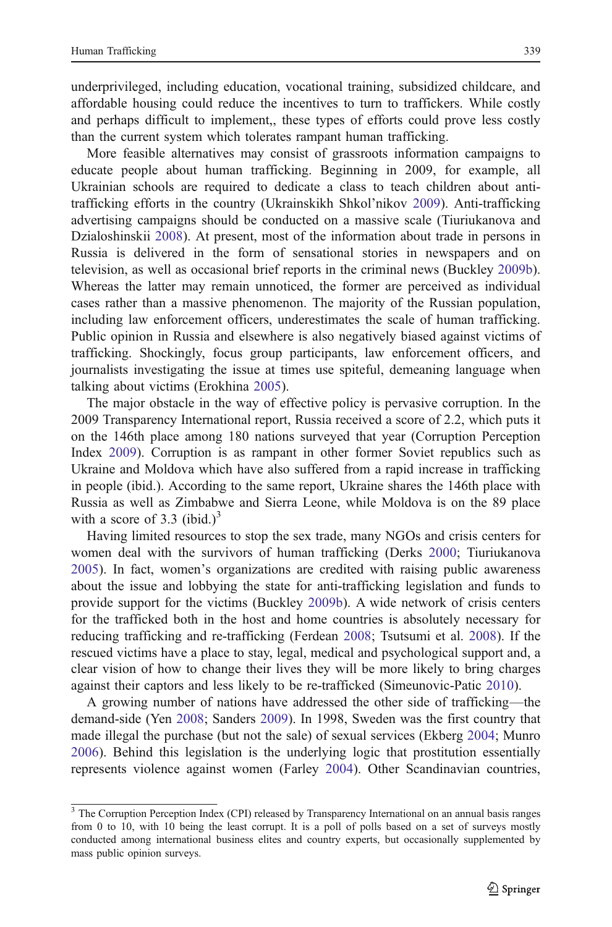underprivileged, including education, vocational training, subsidized childcare, and affordable housing could reduce the incentives to turn to traffickers. While costly and perhaps difficult to implement,, these types of efforts could prove less costly than the current system which tolerates rampant human trafficking.

More feasible alternatives may consist of grassroots information campaigns to educate people about human trafficking. Beginning in 2009, for example, all Ukrainian schools are required to dedicate a class to teach children about antitrafficking efforts in the country (Ukrainskikh Shkol'nikov [2009\)](#page-14-0). Anti-trafficking advertising campaigns should be conducted on a massive scale (Tiuriukanova and Dzialoshinskii [2008](#page-14-0)). At present, most of the information about trade in persons in Russia is delivered in the form of sensational stories in newspapers and on television, as well as occasional brief reports in the criminal news (Buckley [2009b\)](#page-11-0). Whereas the latter may remain unnoticed, the former are perceived as individual cases rather than a massive phenomenon. The majority of the Russian population, including law enforcement officers, underestimates the scale of human trafficking. Public opinion in Russia and elsewhere is also negatively biased against victims of trafficking. Shockingly, focus group participants, law enforcement officers, and journalists investigating the issue at times use spiteful, demeaning language when talking about victims (Erokhina [2005](#page-12-0)).

The major obstacle in the way of effective policy is pervasive corruption. In the 2009 Transparency International report, Russia received a score of 2.2, which puts it on the 146th place among 180 nations surveyed that year (Corruption Perception Index [2009](#page-12-0)). Corruption is as rampant in other former Soviet republics such as Ukraine and Moldova which have also suffered from a rapid increase in trafficking in people (ibid.). According to the same report, Ukraine shares the 146th place with Russia as well as Zimbabwe and Sierra Leone, while Moldova is on the 89 place with a score of 3.3 (ibid.)<sup>3</sup>

Having limited resources to stop the sex trade, many NGOs and crisis centers for women deal with the survivors of human trafficking (Derks [2000](#page-12-0); Tiuriukanova [2005\)](#page-14-0). In fact, women's organizations are credited with raising public awareness about the issue and lobbying the state for anti-trafficking legislation and funds to provide support for the victims (Buckley [2009b](#page-11-0)). A wide network of crisis centers for the trafficked both in the host and home countries is absolutely necessary for reducing trafficking and re-trafficking (Ferdean [2008;](#page-12-0) Tsutsumi et al. [2008\)](#page-14-0). If the rescued victims have a place to stay, legal, medical and psychological support and, a clear vision of how to change their lives they will be more likely to bring charges against their captors and less likely to be re-trafficked (Simeunovic-Patic [2010](#page-14-0)).

A growing number of nations have addressed the other side of trafficking—the demand-side (Yen [2008;](#page-15-0) Sanders [2009\)](#page-13-0). In 1998, Sweden was the first country that made illegal the purchase (but not the sale) of sexual services (Ekberg [2004;](#page-12-0) Munro [2006\)](#page-13-0). Behind this legislation is the underlying logic that prostitution essentially represents violence against women (Farley [2004\)](#page-12-0). Other Scandinavian countries,

<sup>&</sup>lt;sup>3</sup> The Corruption Perception Index (CPI) released by Transparency International on an annual basis ranges from 0 to 10, with 10 being the least corrupt. It is a poll of polls based on a set of surveys mostly conducted among international business elites and country experts, but occasionally supplemented by mass public opinion surveys.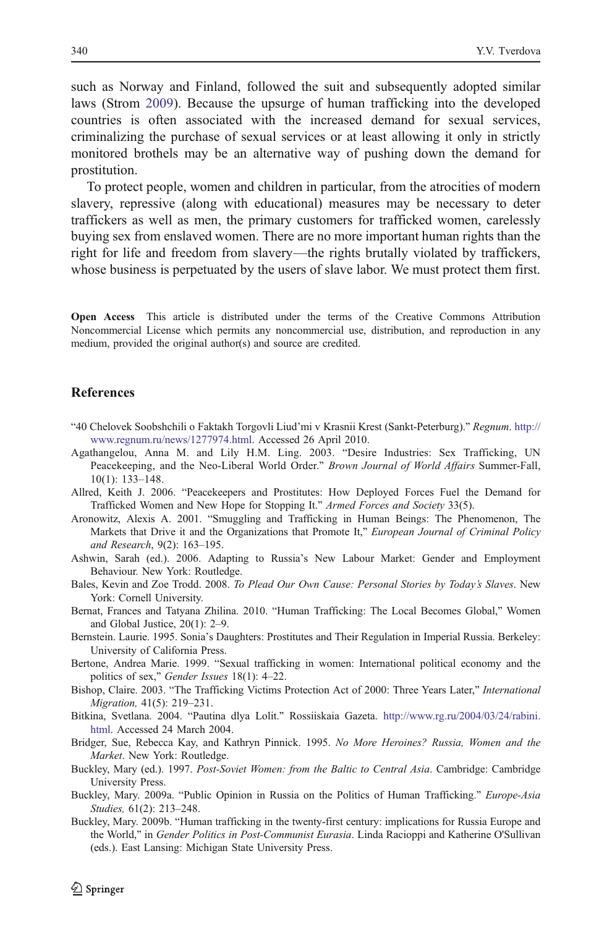<span id="page-11-0"></span>such as Norway and Finland, followed the suit and subsequently adopted similar laws (Strom [2009\)](#page-14-0). Because the upsurge of human trafficking into the developed countries is often associated with the increased demand for sexual services, criminalizing the purchase of sexual services or at least allowing it only in strictly monitored brothels may be an alternative way of pushing down the demand for prostitution.

To protect people, women and children in particular, from the atrocities of modern slavery, repressive (along with educational) measures may be necessary to deter traffickers as well as men, the primary customers for trafficked women, carelessly buying sex from enslaved women. There are no more important human rights than the right for life and freedom from slavery—the rights brutally violated by traffickers, whose business is perpetuated by the users of slave labor. We must protect them first.

Open Access This article is distributed under the terms of the Creative Commons Attribution Noncommercial License which permits any noncommercial use, distribution, and reproduction in any medium, provided the original author(s) and source are credited.

#### References

- "40 Chelovek Soobshchili o Faktakh Torgovli Liud'mi v Krasnii Krest (Sankt-Peterburg)." Regnum. [http://](http://www.regnum.ru/news/1277974.html) [www.regnum.ru/news/1277974.html.](http://www.regnum.ru/news/1277974.html) Accessed 26 April 2010.
- Agathangelou, Anna M. and Lily H.M. Ling. 2003. "Desire Industries: Sex Trafficking, UN Peacekeeping, and the Neo-Liberal World Order." Brown Journal of World Affairs Summer-Fall, 10(1): 133–148.
- Allred, Keith J. 2006. "Peacekeepers and Prostitutes: How Deployed Forces Fuel the Demand for Trafficked Women and New Hope for Stopping It." Armed Forces and Society 33(5).
- Aronowitz, Alexis A. 2001. "Smuggling and Trafficking in Human Beings: The Phenomenon, The Markets that Drive it and the Organizations that Promote It," European Journal of Criminal Policy and Research, 9(2): 163–195.
- Ashwin, Sarah (ed.). 2006. Adapting to Russia's New Labour Market: Gender and Employment Behaviour. New York: Routledge.
- Bales, Kevin and Zoe Trodd. 2008. To Plead Our Own Cause: Personal Stories by Today's Slaves. New York: Cornell University.
- Bernat, Frances and Tatyana Zhilina. 2010. "Human Trafficking: The Local Becomes Global," Women and Global Justice, 20(1): 2–9.
- Bernstein. Laurie. 1995. Sonia's Daughters: Prostitutes and Their Regulation in Imperial Russia. Berkeley: University of California Press.
- Bertone, Andrea Marie. 1999. "Sexual trafficking in women: International political economy and the politics of sex," Gender Issues 18(1): 4–22.
- Bishop, Claire. 2003. "The Trafficking Victims Protection Act of 2000: Three Years Later," International Migration, 41(5): 219–231.
- Bitkina, Svetlana. 2004. "Pautina dlya Lolit." Rossiiskaia Gazeta. [http://www.rg.ru/2004/03/24/rabini.](http://www.rg.ru/2004/03/24/rabini.html) [html](http://www.rg.ru/2004/03/24/rabini.html). Accessed 24 March 2004.
- Bridger, Sue, Rebecca Kay, and Kathryn Pinnick. 1995. No More Heroines? Russia, Women and the Market. New York: Routledge.
- Buckley, Mary (ed.). 1997. Post-Soviet Women: from the Baltic to Central Asia. Cambridge: Cambridge University Press.
- Buckley, Mary. 2009a. "Public Opinion in Russia on the Politics of Human Trafficking." Europe-Asia Studies, 61(2): 213–248.
- Buckley, Mary. 2009b. "Human trafficking in the twenty-first century: implications for Russia Europe and the World," in Gender Politics in Post-Communist Eurasia. Linda Racioppi and Katherine O'Sullivan (eds.). East Lansing: Michigan State University Press.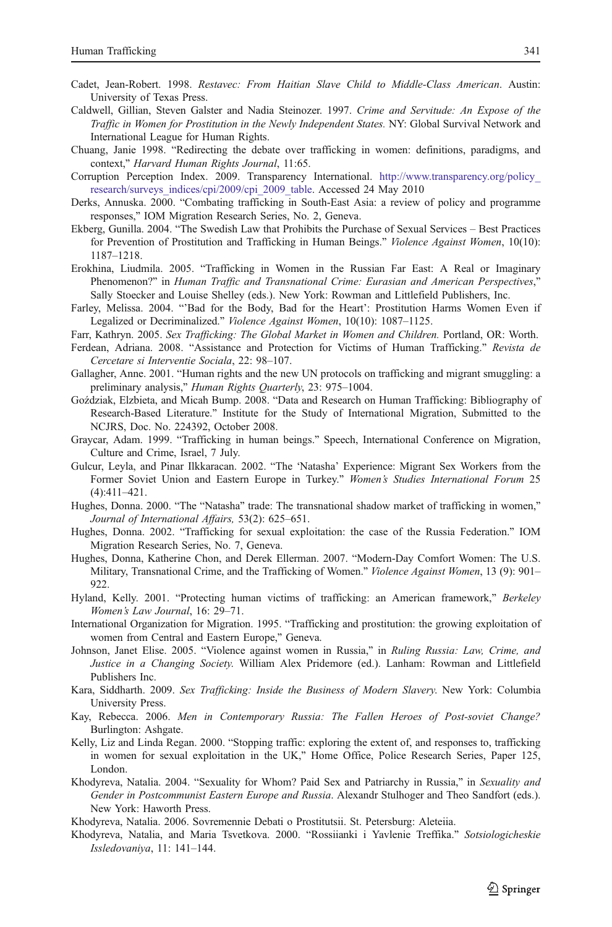- <span id="page-12-0"></span>Cadet, Jean-Robert. 1998. Restavec: From Haitian Slave Child to Middle-Class American. Austin: University of Texas Press.
- Caldwell, Gillian, Steven Galster and Nadia Steinozer. 1997. Crime and Servitude: An Expose of the Traffic in Women for Prostitution in the Newly Independent States. NY: Global Survival Network and International League for Human Rights.
- Chuang, Janie 1998. "Redirecting the debate over trafficking in women: definitions, paradigms, and context," Harvard Human Rights Journal, 11:65.
- Corruption Perception Index. 2009. Transparency International. [http://www.transparency.org/policy](http://www.transparency.org/policy<?tf=)\_ research/surveys\_[indices/cpi/2009/cpi](http://www.transparency.org/policy<?tf=)\_2009\_table. Accessed 24 May 2010
- Derks, Annuska. 2000. "Combating trafficking in South-East Asia: a review of policy and programme responses," IOM Migration Research Series, No. 2, Geneva.
- Ekberg, Gunilla. 2004. "The Swedish Law that Prohibits the Purchase of Sexual Services Best Practices for Prevention of Prostitution and Trafficking in Human Beings." Violence Against Women, 10(10): 1187–1218.
- Erokhina, Liudmila. 2005. "Trafficking in Women in the Russian Far East: A Real or Imaginary Phenomenon?" in Human Traffic and Transnational Crime: Eurasian and American Perspectives," Sally Stoecker and Louise Shelley (eds.). New York: Rowman and Littlefield Publishers, Inc.
- Farley, Melissa. 2004. "'Bad for the Body, Bad for the Heart': Prostitution Harms Women Even if Legalized or Decriminalized." Violence Against Women, 10(10): 1087–1125.

Farr, Kathryn. 2005. Sex Trafficking: The Global Market in Women and Children. Portland, OR: Worth.

- Ferdean, Adriana. 2008. "Assistance and Protection for Victims of Human Trafficking." Revista de Cercetare si Interventie Sociala, 22: 98–107.
- Gallagher, Anne. 2001. "Human rights and the new UN protocols on trafficking and migrant smuggling: a preliminary analysis," Human Rights Quarterly, 23: 975-1004.
- Goździak, Elzbieta, and Micah Bump. 2008. "Data and Research on Human Trafficking: Bibliography of Research-Based Literature." Institute for the Study of International Migration, Submitted to the NCJRS, Doc. No. 224392, October 2008.
- Graycar, Adam. 1999. "Trafficking in human beings." Speech, International Conference on Migration, Culture and Crime, Israel, 7 July.
- Gulcur, Leyla, and Pinar Ilkkaracan. 2002. "The 'Natasha' Experience: Migrant Sex Workers from the Former Soviet Union and Eastern Europe in Turkey." Women's Studies International Forum 25 (4):411–421.
- Hughes, Donna. 2000. "The "Natasha" trade: The transnational shadow market of trafficking in women," Journal of International Affairs, 53(2): 625–651.
- Hughes, Donna. 2002. "Trafficking for sexual exploitation: the case of the Russia Federation." IOM Migration Research Series, No. 7, Geneva.
- Hughes, Donna, Katherine Chon, and Derek Ellerman. 2007. "Modern-Day Comfort Women: The U.S. Military, Transnational Crime, and the Trafficking of Women." Violence Against Women, 13 (9): 901– 922
- Hyland, Kelly. 2001. "Protecting human victims of trafficking: an American framework," Berkeley Women's Law Journal, 16: 29–71.
- International Organization for Migration. 1995. "Trafficking and prostitution: the growing exploitation of women from Central and Eastern Europe," Geneva.
- Johnson, Janet Elise. 2005. "Violence against women in Russia," in Ruling Russia: Law, Crime, and Justice in a Changing Society. William Alex Pridemore (ed.). Lanham: Rowman and Littlefield Publishers Inc.
- Kara, Siddharth. 2009. Sex Trafficking: Inside the Business of Modern Slavery. New York: Columbia University Press.
- Kay, Rebecca. 2006. Men in Contemporary Russia: The Fallen Heroes of Post-soviet Change? Burlington: Ashgate.
- Kelly, Liz and Linda Regan. 2000. "Stopping traffic: exploring the extent of, and responses to, trafficking in women for sexual exploitation in the UK," Home Office, Police Research Series, Paper 125, London.
- Khodyreva, Natalia. 2004. "Sexuality for Whom? Paid Sex and Patriarchy in Russia," in Sexuality and Gender in Postcommunist Eastern Europe and Russia. Alexandr Stulhoger and Theo Sandfort (eds.). New York: Haworth Press.

Khodyreva, Natalia. 2006. Sovremennie Debati o Prostitutsii. St. Petersburg: Aleteiia.

Khodyreva, Natalia, and Maria Tsvetkova. 2000. "Rossiianki i Yavlenie Treffika." Sotsiologicheskie Issledovaniya, 11: 141–144.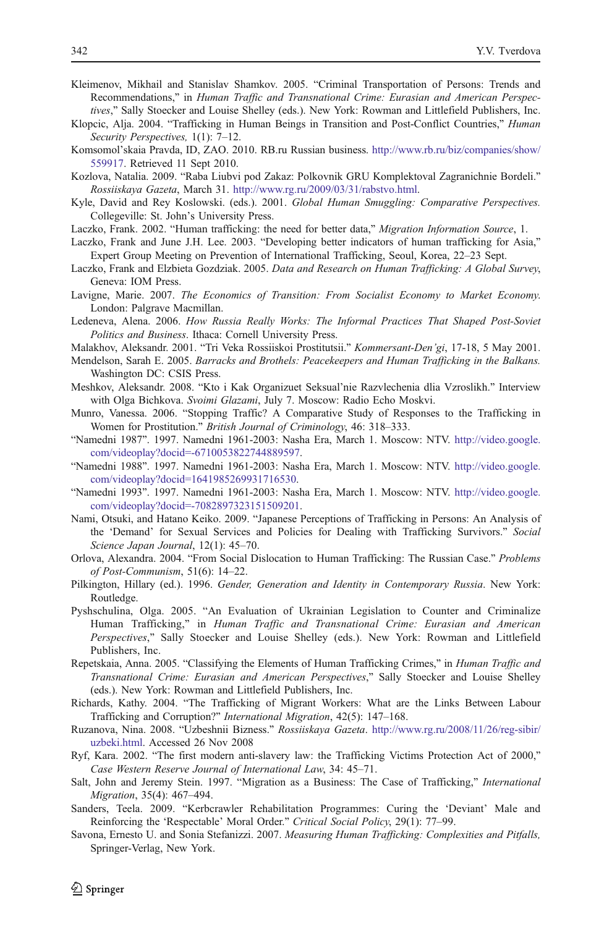- <span id="page-13-0"></span>Kleimenov, Mikhail and Stanislav Shamkov. 2005. "Criminal Transportation of Persons: Trends and Recommendations," in Human Traffic and Transnational Crime: Eurasian and American Perspectives," Sally Stoecker and Louise Shelley (eds.). New York: Rowman and Littlefield Publishers, Inc.
- Klopcic, Alja. 2004. "Trafficking in Human Beings in Transition and Post-Conflict Countries," Human Security Perspectives, 1(1): 7–12.
- Komsomol'skaia Pravda, ID, ZAO. 2010. RB.ru Russian business. [http://www.rb.ru/biz/companies/show/](http://www.rb.ru/biz/companies/show/559917) [559917.](http://www.rb.ru/biz/companies/show/559917) Retrieved 11 Sept 2010.
- Kozlova, Natalia. 2009. "Raba Liubvi pod Zakaz: Polkovnik GRU Komplektoval Zagranichnie Bordeli." Rossiiskaya Gazeta, March 31. [http://www.rg.ru/2009/03/31/rabstvo.html.](http://www.rg.ru/2009/03/31/rabstvo.html)
- Kyle, David and Rey Koslowski. (eds.). 2001. Global Human Smuggling: Comparative Perspectives. Collegeville: St. John's University Press.
- Laczko, Frank. 2002. "Human trafficking: the need for better data," Migration Information Source, 1.
- Laczko, Frank and June J.H. Lee. 2003. "Developing better indicators of human trafficking for Asia," Expert Group Meeting on Prevention of International Trafficking, Seoul, Korea, 22–23 Sept.
- Laczko, Frank and Elzbieta Gozdziak. 2005. Data and Research on Human Trafficking: A Global Survey, Geneva: IOM Press.
- Lavigne, Marie. 2007. The Economics of Transition: From Socialist Economy to Market Economy. London: Palgrave Macmillan.
- Ledeneva, Alena. 2006. How Russia Really Works: The Informal Practices That Shaped Post-Soviet Politics and Business. Ithaca: Cornell University Press.
- Malakhov, Aleksandr. 2001. "Tri Veka Rossiiskoi Prostitutsii." Kommersant-Den'gi, 17-18, 5 May 2001.
- Mendelson, Sarah E. 2005. Barracks and Brothels: Peacekeepers and Human Trafficking in the Balkans. Washington DC: CSIS Press.
- Meshkov, Aleksandr. 2008. "Kto i Kak Organizuet Seksual'nie Razvlechenia dlia Vzroslikh." Interview with Olga Bichkova. Svoimi Glazami, July 7. Moscow: Radio Echo Moskvi.
- Munro, Vanessa. 2006. "Stopping Traffic? A Comparative Study of Responses to the Trafficking in Women for Prostitution." British Journal of Criminology, 46: 318–333.
- "Namedni 1987". 1997. Namedni 1961-2003: Nasha Era, March 1. Moscow: NTV. [http://video.google.](http://video.google.com/videoplay?docid=-6710053822744889597) [com/videoplay?docid=-6710053822744889597](http://video.google.com/videoplay?docid=-6710053822744889597).
- "Namedni 1988". 1997. Namedni 1961-2003: Nasha Era, March 1. Moscow: NTV. [http://video.google.](http://video.google.com/videoplay?docid=1641985269931716530) [com/videoplay?docid=1641985269931716530.](http://video.google.com/videoplay?docid=1641985269931716530)
- "Namedni 1993". 1997. Namedni 1961-2003: Nasha Era, March 1. Moscow: NTV. [http://video.google.](http://video.google.com/videoplay?docid=-7082897323151509201) [com/videoplay?docid=-7082897323151509201](http://video.google.com/videoplay?docid=-7082897323151509201).
- Nami, Otsuki, and Hatano Keiko. 2009. "Japanese Perceptions of Trafficking in Persons: An Analysis of the 'Demand' for Sexual Services and Policies for Dealing with Trafficking Survivors." Social Science Japan Journal, 12(1): 45–70.
- Orlova, Alexandra. 2004. "From Social Dislocation to Human Trafficking: The Russian Case." Problems of Post-Communism, 51(6): 14–22.
- Pilkington, Hillary (ed.). 1996. Gender, Generation and Identity in Contemporary Russia. New York: Routledge.
- Pyshschulina, Olga. 2005. "An Evaluation of Ukrainian Legislation to Counter and Criminalize Human Trafficking," in Human Traffic and Transnational Crime: Eurasian and American Perspectives," Sally Stoecker and Louise Shelley (eds.). New York: Rowman and Littlefield Publishers, Inc.
- Repetskaia, Anna. 2005. "Classifying the Elements of Human Trafficking Crimes," in Human Traffic and Transnational Crime: Eurasian and American Perspectives," Sally Stoecker and Louise Shelley (eds.). New York: Rowman and Littlefield Publishers, Inc.
- Richards, Kathy. 2004. "The Trafficking of Migrant Workers: What are the Links Between Labour Trafficking and Corruption?" International Migration, 42(5): 147–168.
- Ruzanova, Nina. 2008. "Uzbeshnii Bizness." Rossiiskaya Gazeta. [http://www.rg.ru/2008/11/26/reg-sibir/](http://www.rg.ru/2008/11/26/reg-sibir/uzbeki.html) [uzbeki.html](http://www.rg.ru/2008/11/26/reg-sibir/uzbeki.html). Accessed 26 Nov 2008
- Ryf, Kara. 2002. "The first modern anti-slavery law: the Trafficking Victims Protection Act of 2000," Case Western Reserve Journal of International Law, 34: 45–71.
- Salt, John and Jeremy Stein. 1997. "Migration as a Business: The Case of Trafficking," International Migration, 35(4): 467–494.
- Sanders, Teela. 2009. "Kerbcrawler Rehabilitation Programmes: Curing the 'Deviant' Male and Reinforcing the 'Respectable' Moral Order." Critical Social Policy, 29(1): 77–99.
- Savona, Ernesto U. and Sonia Stefanizzi. 2007. Measuring Human Trafficking: Complexities and Pitfalls, Springer-Verlag, New York.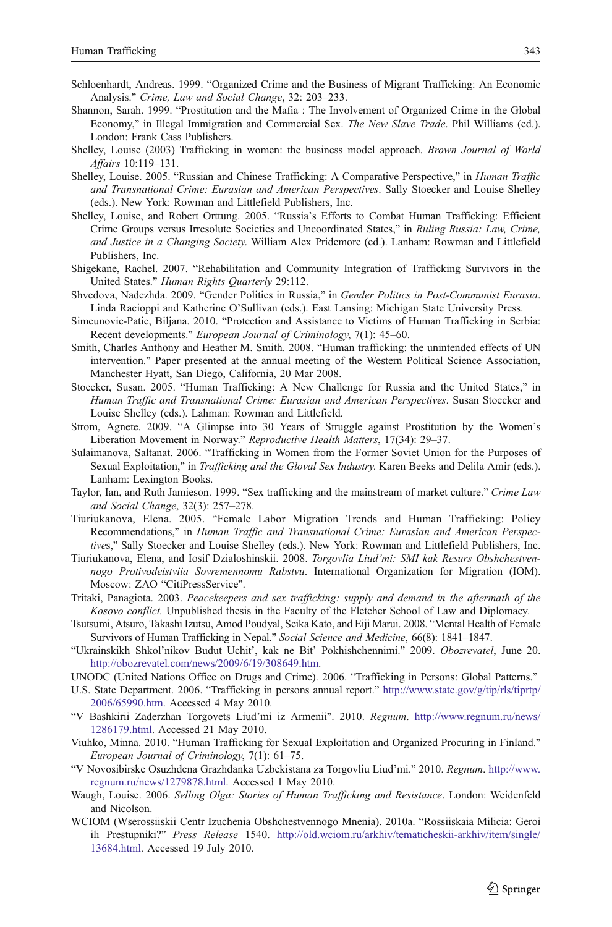- <span id="page-14-0"></span>Schloenhardt, Andreas. 1999. "Organized Crime and the Business of Migrant Trafficking: An Economic Analysis." Crime, Law and Social Change, 32: 203–233.
- Shannon, Sarah. 1999. "Prostitution and the Mafia : The Involvement of Organized Crime in the Global Economy," in Illegal Immigration and Commercial Sex. The New Slave Trade. Phil Williams (ed.). London: Frank Cass Publishers.
- Shelley, Louise (2003) Trafficking in women: the business model approach. Brown Journal of World Affairs 10:119–131.
- Shelley, Louise. 2005. "Russian and Chinese Trafficking: A Comparative Perspective," in Human Traffic and Transnational Crime: Eurasian and American Perspectives. Sally Stoecker and Louise Shelley (eds.). New York: Rowman and Littlefield Publishers, Inc.
- Shelley, Louise, and Robert Orttung. 2005. "Russia's Efforts to Combat Human Trafficking: Efficient Crime Groups versus Irresolute Societies and Uncoordinated States," in Ruling Russia: Law, Crime, and Justice in a Changing Society. William Alex Pridemore (ed.). Lanham: Rowman and Littlefield Publishers, Inc.
- Shigekane, Rachel. 2007. "Rehabilitation and Community Integration of Trafficking Survivors in the United States." Human Rights Quarterly 29:112.
- Shvedova, Nadezhda. 2009. "Gender Politics in Russia," in Gender Politics in Post-Communist Eurasia. Linda Racioppi and Katherine O'Sullivan (eds.). East Lansing: Michigan State University Press.
- Simeunovic-Patic, Biljana. 2010. "Protection and Assistance to Victims of Human Trafficking in Serbia: Recent developments." European Journal of Criminology, 7(1): 45–60.
- Smith, Charles Anthony and Heather M. Smith. 2008. "Human trafficking: the unintended effects of UN intervention." Paper presented at the annual meeting of the Western Political Science Association, Manchester Hyatt, San Diego, California, 20 Mar 2008.
- Stoecker, Susan. 2005. "Human Trafficking: A New Challenge for Russia and the United States," in Human Traffic and Transnational Crime: Eurasian and American Perspectives. Susan Stoecker and Louise Shelley (eds.). Lahman: Rowman and Littlefield.
- Strom, Agnete. 2009. "A Glimpse into 30 Years of Struggle against Prostitution by the Women's Liberation Movement in Norway." Reproductive Health Matters, 17(34): 29–37.
- Sulaimanova, Saltanat. 2006. "Trafficking in Women from the Former Soviet Union for the Purposes of Sexual Exploitation," in Trafficking and the Gloval Sex Industry. Karen Beeks and Delila Amir (eds.). Lanham: Lexington Books.
- Taylor, Ian, and Ruth Jamieson. 1999. "Sex trafficking and the mainstream of market culture." Crime Law and Social Change, 32(3): 257–278.
- Tiuriukanova, Elena. 2005. "Female Labor Migration Trends and Human Trafficking: Policy Recommendations," in Human Traffic and Transnational Crime: Eurasian and American Perspectives," Sally Stoecker and Louise Shelley (eds.). New York: Rowman and Littlefield Publishers, Inc.
- Tiuriukanova, Elena, and Iosif Dzialoshinskii. 2008. Torgovlia Liud'mi: SMI kak Resurs Obshchestvennogo Protivodeistviia Sovremennomu Rabstvu. International Organization for Migration (IOM). Moscow: ZAO "CitiPressService".
- Tritaki, Panagiota. 2003. Peacekeepers and sex trafficking: supply and demand in the aftermath of the Kosovo conflict. Unpublished thesis in the Faculty of the Fletcher School of Law and Diplomacy.
- Tsutsumi, Atsuro, Takashi Izutsu, Amod Poudyal, Seika Kato, and Eiji Marui. 2008. "Mental Health of Female Survivors of Human Trafficking in Nepal." Social Science and Medicine, 66(8): 1841–1847.
- "Ukrainskikh Shkol'nikov Budut Uchit', kak ne Bit' Pokhishchennimi." 2009. Obozrevatel, June 20. [http://obozrevatel.com/news/2009/6/19/308649.htm.](http://obozrevatel.com/news/2009/6/19/308649.htm)
- UNODC (United Nations Office on Drugs and Crime). 2006. "Trafficking in Persons: Global Patterns."
- U.S. State Department. 2006. "Trafficking in persons annual report." [http://www.state.gov/g/tip/rls/tiprtp/](http://www.state.gov/g/tip/rls/tiprtp/2006/65990.htm) [2006/65990.htm](http://www.state.gov/g/tip/rls/tiprtp/2006/65990.htm). Accessed 4 May 2010.
- "V Bashkirii Zaderzhan Torgovets Liud'mi iz Armenii". 2010. Regnum. [http://www.regnum.ru/news/](http://www.regnum.ru/news/1286179.html) [1286179.html](http://www.regnum.ru/news/1286179.html). Accessed 21 May 2010.
- Viuhko, Minna. 2010. "Human Trafficking for Sexual Exploitation and Organized Procuring in Finland." European Journal of Criminology, 7(1): 61–75.
- "V Novosibirske Osuzhdena Grazhdanka Uzbekistana za Torgovliu Liud'mi." 2010. Regnum. [http://www.](http://www.regnum.ru/news/1279878.html) [regnum.ru/news/1279878.html](http://www.regnum.ru/news/1279878.html). Accessed 1 May 2010.
- Waugh, Louise. 2006. Selling Olga: Stories of Human Trafficking and Resistance. London: Weidenfeld and Nicolson.
- WCIOM (Wserossiiskii Centr Izuchenia Obshchestvennogo Mnenia). 2010a. "Rossiiskaia Milicia: Geroi ili Prestupniki?" Press Release 1540. [http://old.wciom.ru/arkhiv/tematicheskii-arkhiv/item/single/](http://old.wciom.ru/arkhiv/tematicheskii-arkhiv/item/single/13684.html) [13684.html](http://old.wciom.ru/arkhiv/tematicheskii-arkhiv/item/single/13684.html). Accessed 19 July 2010.